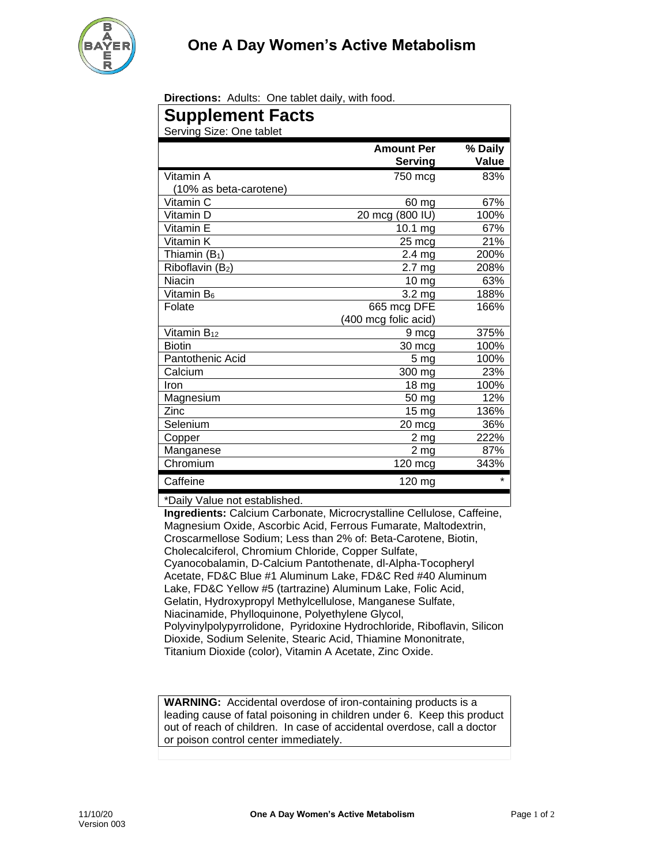

**Directions:** Adults: One tablet daily, with food.

| <b>Supplement Facts</b><br>Serving Size: One tablet |                              |                  |
|-----------------------------------------------------|------------------------------|------------------|
|                                                     | <b>Amount Per</b><br>Serving | % Daily<br>Value |
| Vitamin A                                           | 750 mcg                      | 83%              |
| (10% as beta-carotene)                              |                              |                  |
| Vitamin C                                           | 60 mg                        | 67%              |
| Vitamin D                                           | 20 mcg (800 IU)              | 100%             |
| Vitamin E                                           | 10.1 mg                      | 67%              |
| Vitamin K                                           | 25 mcg                       | 21%              |
| Thiamin $(B_1)$                                     | $2.4 \text{ mg}$             | 200%             |
| Riboflavin (B2)                                     | 2.7 mg                       | 208%             |
| Niacin                                              | 10 <sub>mg</sub>             | 63%              |
| Vitamin B <sub>6</sub>                              | 3.2 <sub>mg</sub>            | 188%             |
| Folate                                              | 665 mcg DFE                  | 166%             |
|                                                     | (400 mcg folic acid)         |                  |
| Vitamin $B_{12}$                                    | 9 mcg                        | 375%             |
| <b>Biotin</b>                                       | 30 mcg                       | 100%             |
| Pantothenic Acid                                    | 5 <sub>mg</sub>              | 100%             |
| Calcium                                             | 300 mg                       | 23%              |
| Iron                                                | 18 mg                        | 100%             |
| Magnesium                                           | 50 mg                        | 12%              |
| Zinc                                                | 15 mg                        | 136%             |
| Selenium                                            | 20 mcg                       | 36%              |
| Copper                                              | 2 mg                         | 222%             |
| Manganese                                           | 2 <sub>mg</sub>              | 87%              |
| Chromium                                            | 120 mcg                      | 343%             |
| Caffeine                                            | 120 mg                       | $\star$          |
| *Daily Value not established.                       |                              |                  |

**Ingredients:** Calcium Carbonate, Microcrystalline Cellulose, Caffeine, Magnesium Oxide, Ascorbic Acid, Ferrous Fumarate, Maltodextrin, Croscarmellose Sodium; Less than 2% of: Beta-Carotene, Biotin, Cholecalciferol, Chromium Chloride, Copper Sulfate, Cyanocobalamin, D-Calcium Pantothenate, dl-Alpha-Tocopheryl Acetate, FD&C Blue #1 Aluminum Lake, FD&C Red #40 Aluminum Lake, FD&C Yellow #5 (tartrazine) Aluminum Lake, Folic Acid, Gelatin, Hydroxypropyl Methylcellulose, Manganese Sulfate, Niacinamide, Phylloquinone, Polyethylene Glycol, Polyvinylpolypyrrolidone, Pyridoxine Hydrochloride, Riboflavin, Silicon Dioxide, Sodium Selenite, Stearic Acid, Thiamine Mononitrate, Titanium Dioxide (color), Vitamin A Acetate, Zinc Oxide.

**WARNING:** Accidental overdose of iron-containing products is a leading cause of fatal poisoning in children under 6. Keep this product out of reach of children. In case of accidental overdose, call a doctor or poison control center immediately.